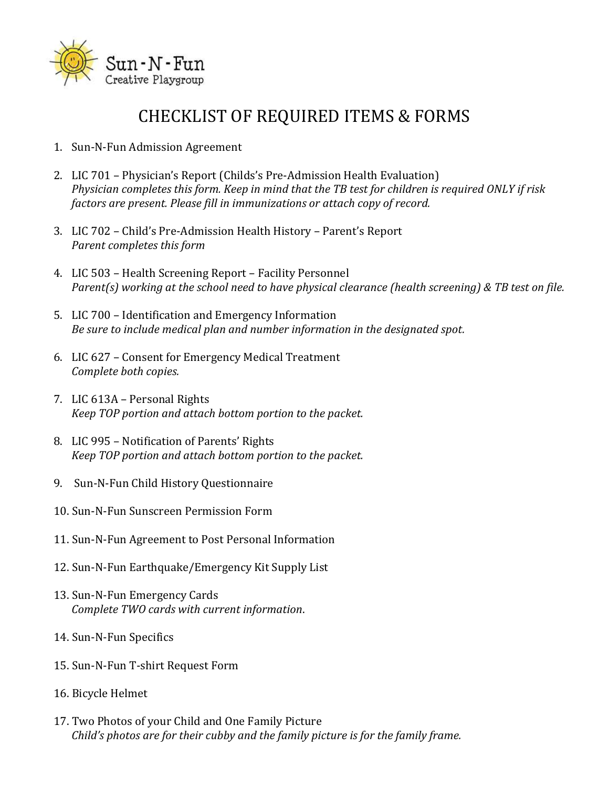

#### CHECKLIST OF REQUIRED ITEMS & FORMS

- 1. Sun-N-Fun Admission Agreement
- 2. LIC 701 Physician's Report (Childs's Pre-Admission Health Evaluation) *Physician completes this form. Keep in mind that the TB test for children is required ONLY if risk factors are present. Please fill in immunizations or attach copy of record.*
- 3. LIC 702 Child's Pre-Admission Health History Parent's Report *Parent completes this form*
- 4. LIC 503 Health Screening Report Facility Personnel *Parent(s) working at the school need to have physical clearance (health screening) & TB test on file.*
- 5. LIC 700 Identification and Emergency Information *Be sure to include medical plan and number information in the designated spot.*
- 6. LIC 627 Consent for Emergency Medical Treatment *Complete both copies.*
- 7. LIC 613A Personal Rights *Keep TOP portion and attach bottom portion to the packet.*
- 8. LIC 995 Notification of Parents' Rights *Keep TOP portion and attach bottom portion to the packet.*
- 9. Sun-N-Fun Child History Questionnaire
- 10. Sun-N-Fun Sunscreen Permission Form
- 11. Sun-N-Fun Agreement to Post Personal Information
- 12. Sun-N-Fun Earthquake/Emergency Kit Supply List
- 13. Sun-N-Fun Emergency Cards *Complete TWO cards with current information*.
- 14. Sun-N-Fun Specifics
- 15. Sun-N-Fun T-shirt Request Form
- 16. Bicycle Helmet
- 17. Two Photos of your Child and One Family Picture *Child's photos are for their cubby and the family picture is for the family frame.*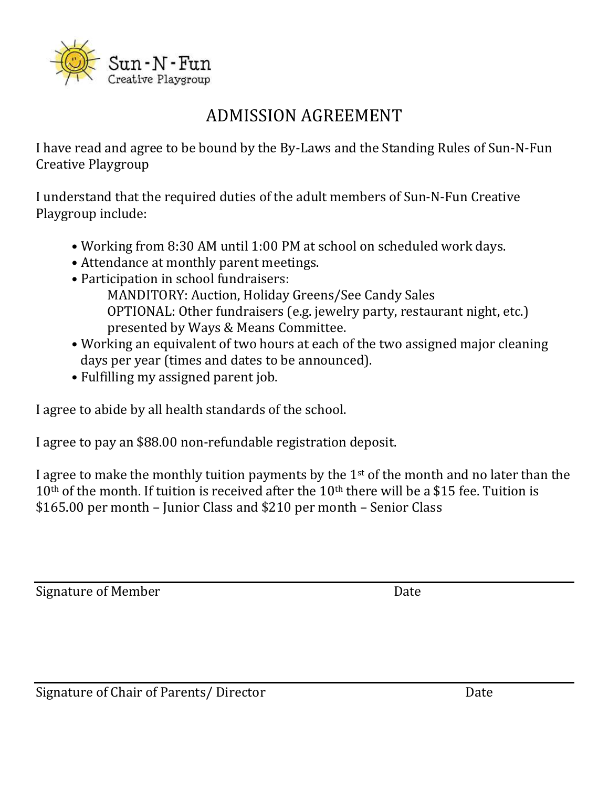

## ADMISSION AGREEMENT

I have read and agree to be bound by the By-Laws and the Standing Rules of Sun-N-Fun Creative Playgroup

I understand that the required duties of the adult members of Sun-N-Fun Creative Playgroup include:

- Working from 8:30 AM until 1:00 PM at school on scheduled work days.
- Attendance at monthly parent meetings.
- Participation in school fundraisers:
	- MANDITORY: Auction, Holiday Greens/See Candy Sales OPTIONAL: Other fundraisers (e.g. jewelry party, restaurant night, etc.) presented by Ways & Means Committee.
- Working an equivalent of two hours at each of the two assigned major cleaning days per year (times and dates to be announced).
- Fulfilling my assigned parent job.

I agree to abide by all health standards of the school.

I agree to pay an \$88.00 non-refundable registration deposit.

I agree to make the monthly tuition payments by the  $1<sup>st</sup>$  of the month and no later than the  $10<sup>th</sup>$  of the month. If tuition is received after the  $10<sup>th</sup>$  there will be a \$15 fee. Tuition is \$165.00 per month – Junior Class and \$210 per month – Senior Class

Signature of Member Date

Signature of Chair of Parents/ Director Date Date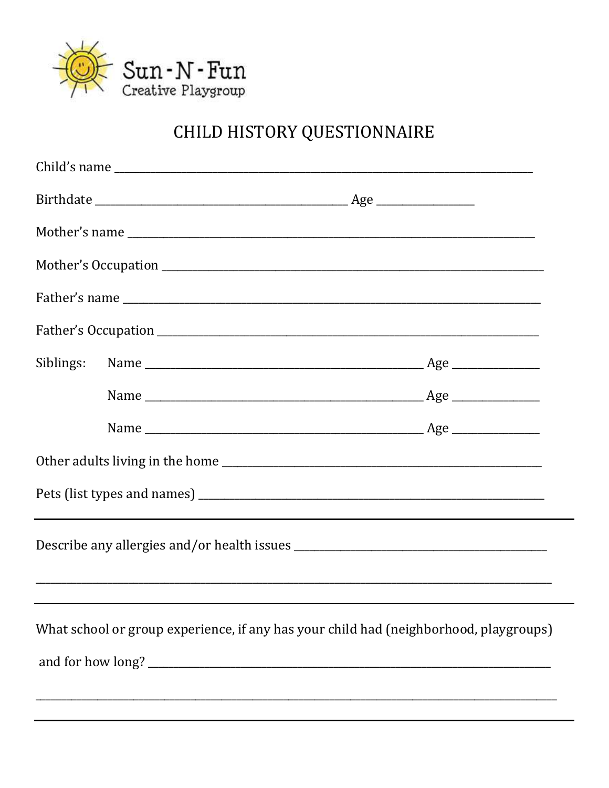

# CHILD HISTORY QUESTIONNAIRE

| What school or group experience, if any has your child had (neighborhood, playgroups) |  |
|---------------------------------------------------------------------------------------|--|
|                                                                                       |  |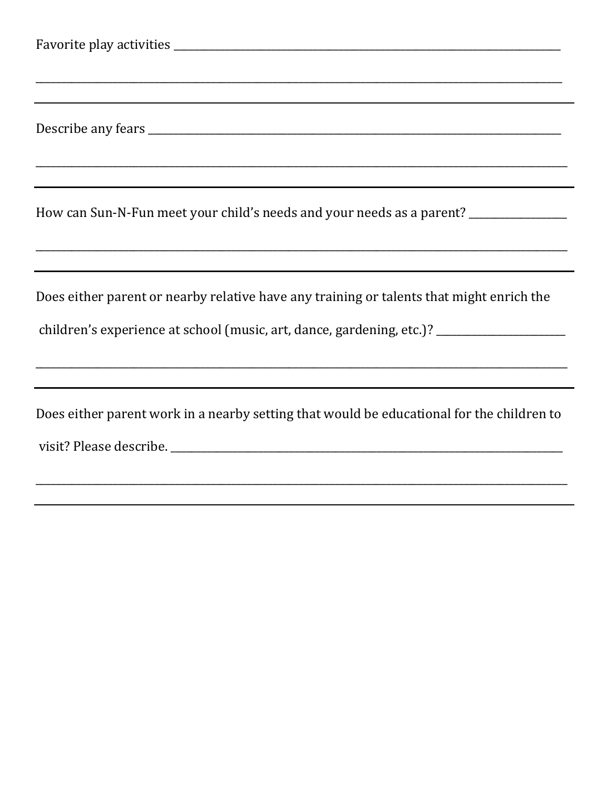| How can Sun-N-Fun meet your child's needs and your needs as a parent? ___________         |  |  |
|-------------------------------------------------------------------------------------------|--|--|
|                                                                                           |  |  |
| Does either parent or nearby relative have any training or talents that might enrich the  |  |  |
| children's experience at school (music, art, dance, gardening, etc.)? __________________  |  |  |
|                                                                                           |  |  |
| Does either parent work in a nearby setting that would be educational for the children to |  |  |
|                                                                                           |  |  |
|                                                                                           |  |  |
|                                                                                           |  |  |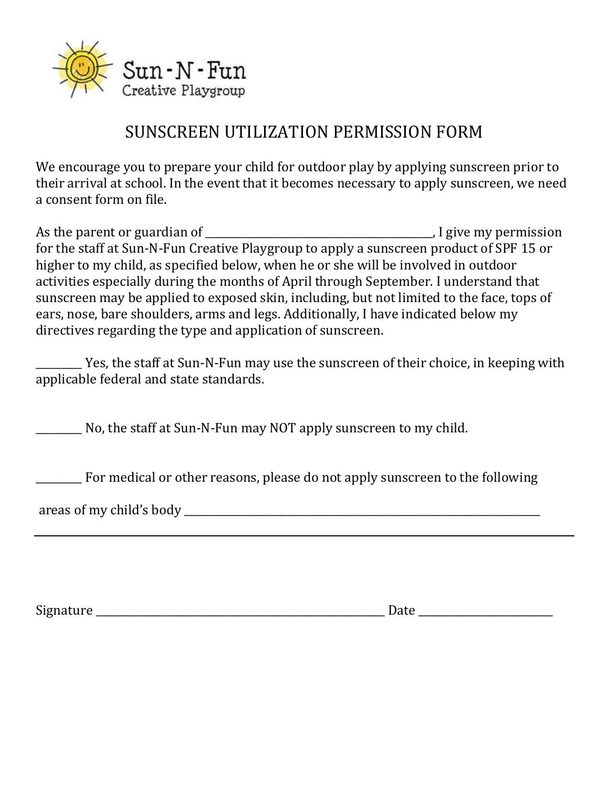

#### SUNSCREEN UTILIZATION PERMISSION FORM

We encourage you to prepare your child for outdoor play by applying sunscreen prior to their arrival at school. In the event that it becomes necessary to apply sunscreen, we need a consent form on file.

As the parent or guardian of \_\_\_\_\_\_\_\_\_\_\_\_\_\_\_\_\_\_\_\_\_\_\_\_\_\_\_\_\_\_\_\_\_\_\_\_\_\_\_\_\_\_\_\_, I give my permission for the staff at Sun-N-Fun Creative Playgroup to apply a sunscreen product of SPF 15 or higher to my child, as specified below, when he or she will be involved in outdoor activities especially during the months of April through September. I understand that sunscreen may be applied to exposed skin, including, but not limited to the face, tops of ears, nose, bare shoulders, arms and legs. Additionally, I have indicated below my directives regarding the type and application of sunscreen.

\_\_\_\_\_\_\_\_\_ Yes, the staff at Sun-N-Fun may use the sunscreen of their choice, in keeping with applicable federal and state standards.

No, the staff at Sun-N-Fun may NOT apply sunscreen to my child.

**The Exercise Property Formula** or other reasons, please do not apply sunscreen to the following

areas of my child's body \_\_\_\_\_\_\_\_\_\_\_\_\_\_\_\_\_\_\_\_\_\_\_\_\_\_\_\_\_\_\_\_\_\_\_\_\_\_\_\_\_\_\_\_\_\_\_\_\_\_\_\_\_\_\_\_\_\_\_\_\_\_\_\_\_\_\_\_\_

Signature \_\_\_\_\_\_\_\_\_\_\_\_\_\_\_\_\_\_\_\_\_\_\_\_\_\_\_\_\_\_\_\_\_\_\_\_\_\_\_\_\_\_\_\_\_\_\_\_\_\_\_\_\_\_\_\_ Date \_\_\_\_\_\_\_\_\_\_\_\_\_\_\_\_\_\_\_\_\_\_\_\_\_\_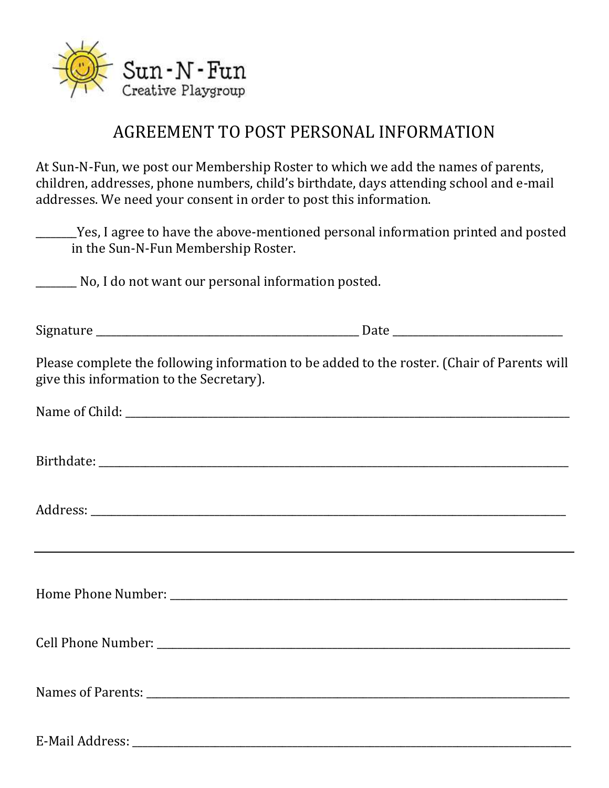

#### AGREEMENT TO POST PERSONAL INFORMATION

At Sun-N-Fun, we post our Membership Roster to which we add the names of parents, children, addresses, phone numbers, child's birthdate, days attending school and e-mail addresses. We need your consent in order to post this information.

\_\_\_\_\_\_\_\_Yes, I agree to have the above-mentioned personal information printed and posted in the Sun-N-Fun Membership Roster.

\_\_\_\_\_\_\_\_ No, I do not want our personal information posted.

Signature \_\_\_\_\_\_\_\_\_\_\_\_\_\_\_\_\_\_\_\_\_\_\_\_\_\_\_\_\_\_\_\_\_\_\_\_\_\_\_\_\_\_\_\_\_\_\_\_\_\_\_ Date \_\_\_\_\_\_\_\_\_\_\_\_\_\_\_\_\_\_\_\_\_\_\_\_\_\_\_\_\_\_\_\_\_ Please complete the following information to be added to the roster. (Chair of Parents will give this information to the Secretary).

Birthdate: \_\_\_\_\_\_\_\_\_\_\_\_\_\_\_\_\_\_\_\_\_\_\_\_\_\_\_\_\_\_\_\_\_\_\_\_\_\_\_\_\_\_\_\_\_\_\_\_\_\_\_\_\_\_\_\_\_\_\_\_\_\_\_\_\_\_\_\_\_\_\_\_\_\_\_\_\_\_\_\_\_\_\_\_\_\_\_\_\_\_\_

Address: \_\_\_\_\_\_\_\_\_\_\_\_\_\_\_\_\_\_\_\_\_\_\_\_\_\_\_\_\_\_\_\_\_\_\_\_\_\_\_\_\_\_\_\_\_\_\_\_\_\_\_\_\_\_\_\_\_\_\_\_\_\_\_\_\_\_\_\_\_\_\_\_\_\_\_\_\_\_\_\_\_\_\_\_\_\_\_\_\_\_\_\_

Home Phone Number: \_\_\_\_\_\_\_\_\_\_\_\_\_\_\_\_\_\_\_\_\_\_\_\_\_\_\_\_\_\_\_\_\_\_\_\_\_\_\_\_\_\_\_\_\_\_\_\_\_\_\_\_\_\_\_\_\_\_\_\_\_\_\_\_\_\_\_\_\_\_\_\_\_\_\_\_\_

Cell Phone Number: \_\_\_\_\_\_\_\_\_\_\_\_\_\_\_\_\_\_\_\_\_\_\_\_\_\_\_\_\_\_\_\_\_\_\_\_\_\_\_\_\_\_\_\_\_\_\_\_\_\_\_\_\_\_\_\_\_\_\_\_\_\_\_\_\_\_\_\_\_\_\_\_\_\_\_\_\_\_\_\_

Names of Parents: \_\_\_\_\_\_\_\_\_\_\_\_\_\_\_\_\_\_\_\_\_\_\_\_\_\_\_\_\_\_\_\_\_\_\_\_\_\_\_\_\_\_\_\_\_\_\_\_\_\_\_\_\_\_\_\_\_\_\_\_\_\_\_\_\_\_\_\_\_\_\_\_\_\_\_\_\_\_\_\_\_\_

E-Mail Address: \_\_\_\_\_\_\_\_\_\_\_\_\_\_\_\_\_\_\_\_\_\_\_\_\_\_\_\_\_\_\_\_\_\_\_\_\_\_\_\_\_\_\_\_\_\_\_\_\_\_\_\_\_\_\_\_\_\_\_\_\_\_\_\_\_\_\_\_\_\_\_\_\_\_\_\_\_\_\_\_\_\_\_\_\_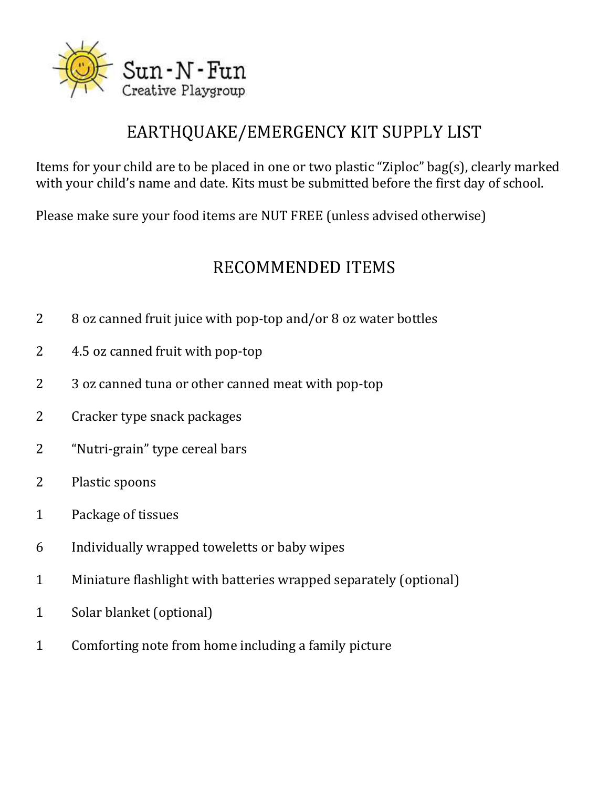

## EARTHQUAKE/EMERGENCY KIT SUPPLY LIST

Items for your child are to be placed in one or two plastic "Ziploc" bag(s), clearly marked with your child's name and date. Kits must be submitted before the first day of school.

Please make sure your food items are NUT FREE (unless advised otherwise)

#### RECOMMENDED ITEMS

- 2 8 oz canned fruit juice with pop-top and/or 8 oz water bottles
- 2 4.5 oz canned fruit with pop-top
- 2 3 oz canned tuna or other canned meat with pop-top
- 2 Cracker type snack packages
- 2 "Nutri-grain" type cereal bars
- 2 Plastic spoons
- 1 Package of tissues
- 6 Individually wrapped toweletts or baby wipes
- 1 Miniature flashlight with batteries wrapped separately (optional)
- 1 Solar blanket (optional)
- 1 Comforting note from home including a family picture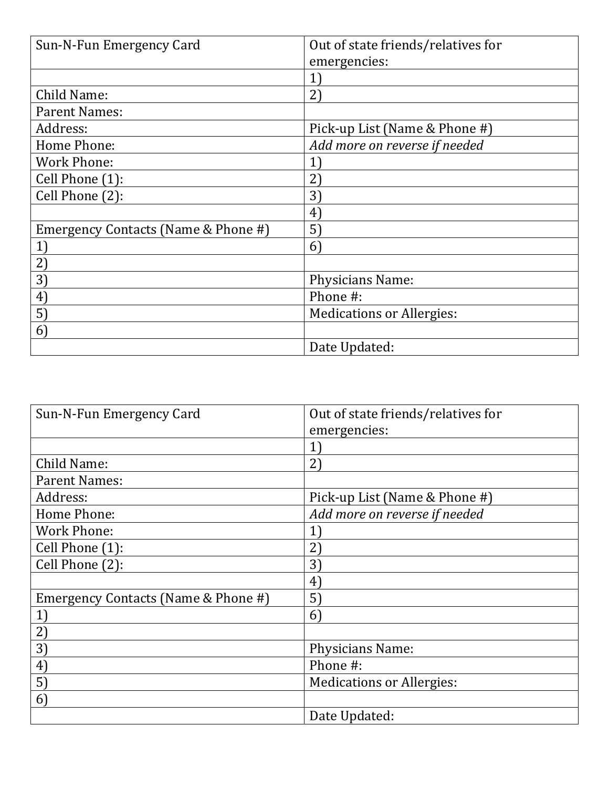| Sun-N-Fun Emergency Card            | Out of state friends/relatives for |
|-------------------------------------|------------------------------------|
|                                     | emergencies:                       |
|                                     | $\left  \right $                   |
| Child Name:                         | 2)                                 |
| <b>Parent Names:</b>                |                                    |
| Address:                            | Pick-up List (Name & Phone #)      |
| Home Phone:                         | Add more on reverse if needed      |
| <b>Work Phone:</b>                  | $1^{\degree}$                      |
| Cell Phone (1):                     | $2^{r}$                            |
| Cell Phone (2):                     | $3^{\circ}$                        |
|                                     | $4^{\circ}$                        |
| Emergency Contacts (Name & Phone #) | 5)                                 |
| 1)                                  | $\vert 6 \rangle$                  |
| 2)                                  |                                    |
| 3)                                  | <b>Physicians Name:</b>            |
| $ 4\rangle$                         | Phone #:                           |
| 5)                                  | <b>Medications or Allergies:</b>   |
| 6 <sup>1</sup>                      |                                    |
|                                     | Date Updated:                      |

| Sun-N-Fun Emergency Card            | Out of state friends/relatives for |
|-------------------------------------|------------------------------------|
|                                     | emergencies:                       |
|                                     | $\mathbf{1}$                       |
| Child Name:                         | $2^{\circ}$                        |
| <b>Parent Names:</b>                |                                    |
| Address:                            | Pick-up List (Name & Phone #)      |
| Home Phone:                         | Add more on reverse if needed      |
| <b>Work Phone:</b>                  | $\left  \right $                   |
| Cell Phone (1):                     | $2^{r}$                            |
| Cell Phone (2):                     | 3)                                 |
|                                     | $4^{\circ}$                        |
| Emergency Contacts (Name & Phone #) | 5)                                 |
| 1                                   | 6                                  |
| 2)                                  |                                    |
| 3)                                  | Physicians Name:                   |
| $ 4\rangle$                         | Phone #:                           |
| 5)                                  | <b>Medications or Allergies:</b>   |
| 6)                                  |                                    |
|                                     | Date Updated:                      |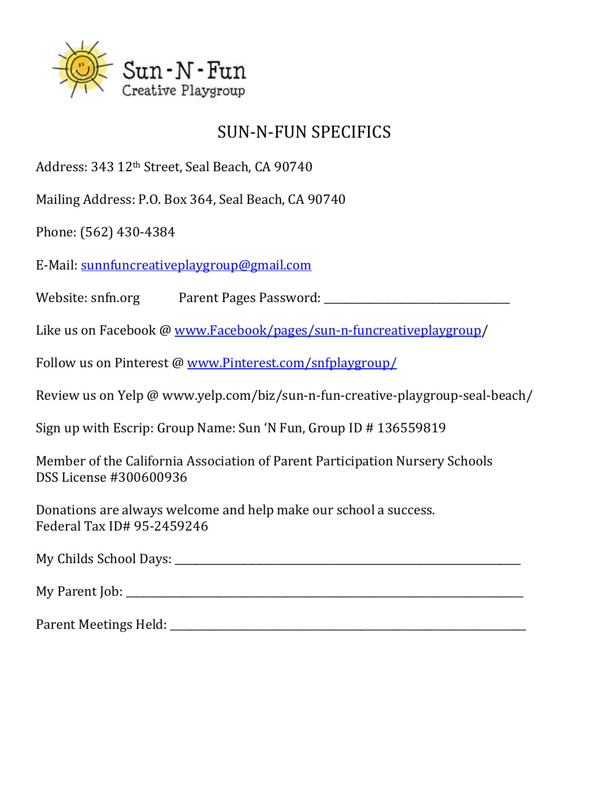

#### SUN-N-FUN SPECIFICS

Address: 343 12th Street, Seal Beach, CA 90740

Mailing Address: P.O. Box 364, Seal Beach, CA 90740

Phone: (562) 430-4384

E-Mail: [sunnfuncreativeplaygroup@gmail.com](mailto:sunnfuncreativeplaygroup@gmail.com)

Website: snfn.org Parent Pages Password:  $\blacksquare$ 

Like us on Facebook @ [www.Facebook/pages/sun-n-funcreativeplaygroup/](http://www.facebook/pages/sun-n-funcreativeplaygroup)

Follow us on Pinterest @ [www.Pinterest.com/snfplaygroup/](http://www.pinterest.com/snfplaygroup/)

Review us on Yelp @ www.yelp.com/biz/sun-n-fun-creative-playgroup-seal-beach/

Sign up with Escrip: Group Name: Sun 'N Fun, Group ID # 136559819

Member of the California Association of Parent Participation Nursery Schools DSS License #300600936

Donations are always welcome and help make our school a success. Federal Tax ID# 95-2459246

My Childs School Days: \_\_\_\_\_\_\_\_\_\_\_\_\_\_\_\_\_\_\_\_\_\_\_\_\_\_\_\_\_\_\_\_\_\_\_\_\_\_\_\_\_\_\_\_\_\_\_\_\_\_\_\_\_\_\_\_\_\_\_\_\_\_\_\_\_\_\_

My Parent Job:  $\blacksquare$ 

Parent Meetings Held: \_\_\_\_\_\_\_\_\_\_\_\_\_\_\_\_\_\_\_\_\_\_\_\_\_\_\_\_\_\_\_\_\_\_\_\_\_\_\_\_\_\_\_\_\_\_\_\_\_\_\_\_\_\_\_\_\_\_\_\_\_\_\_\_\_\_\_\_\_